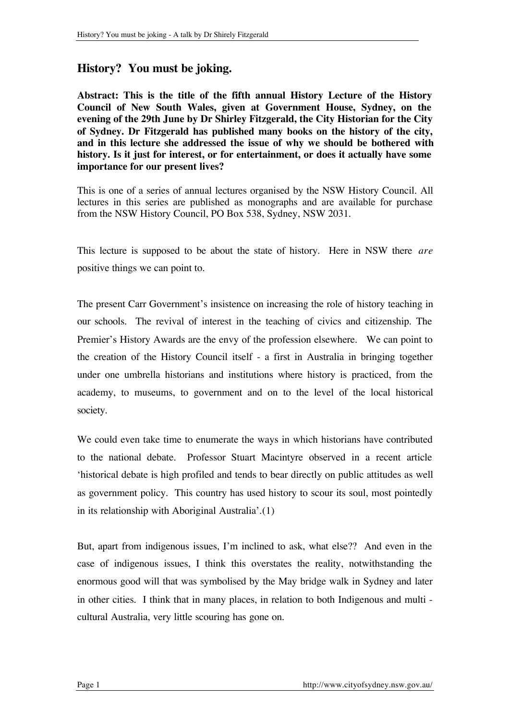## **History? You must be joking.**

**Abstract: This is the title of the fifth annual History Lecture of the History Council of New South Wales, given at Government House, Sydney, on the evening of the 29th June by Dr Shirley Fitzgerald, the City Historian for the City of Sydney. Dr Fitzgerald has published many books on the history of the city, and in this lecture she addressed the issue of why we should be bothered with history. Is it just for interest, or for entertainment, or does it actually have some importance for our present lives?**

This is one of a series of annual lectures organised by the NSW History Council. All lectures in this series are published as monographs and are available for purchase from the NSW History Council, PO Box 538, Sydney, NSW 2031.

This lecture is supposed to be about the state of history. Here in NSW there *are* positive things we can point to.

The present Carr Government's insistence on increasing the role of history teaching in our schools. The revival of interest in the teaching of civics and citizenship. The Premier's History Awards are the envy of the profession elsewhere. We can point to the creation of the History Council itself - a first in Australia in bringing together under one umbrella historians and institutions where history is practiced, from the academy, to museums, to government and on to the level of the local historical society.

We could even take time to enumerate the ways in which historians have contributed to the national debate. Professor Stuart Macintyre observed in a recent article 'historical debate is high profiled and tends to bear directly on public attitudes as well as government policy. This country has used history to scour its soul, most pointedly in its relationship with Aboriginal Australia'.(1)

But, apart from indigenous issues, I'm inclined to ask, what else?? And even in the case of indigenous issues, I think this overstates the reality, notwithstanding the enormous good will that was symbolised by the May bridge walk in Sydney and later in other cities. I think that in many places, in relation to both Indigenous and multi cultural Australia, very little scouring has gone on.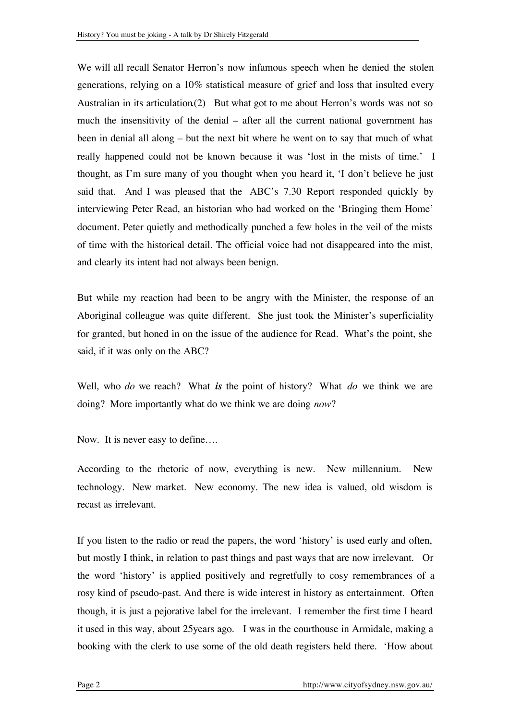We will all recall Senator Herron's now infamous speech when he denied the stolen generations, relying on a 10% statistical measure of grief and loss that insulted every Australian in its articulation.(2) But what got to me about Herron's words was not so much the insensitivity of the denial – after all the current national government has been in denial all along – but the next bit where he went on to say that much of what really happened could not be known because it was 'lost in the mists of time.' I thought, as I'm sure many of you thought when you heard it, 'I don't believe he just said that. And I was pleased that the ABC's 7.30 Report responded quickly by interviewing Peter Read, an historian who had worked on the 'Bringing them Home' document. Peter quietly and methodically punched a few holes in the veil of the mists of time with the historical detail. The official voice had not disappeared into the mist, and clearly its intent had not always been benign.

But while my reaction had been to be angry with the Minister, the response of an Aboriginal colleague was quite different. She just took the Minister's superficiality for granted, but honed in on the issue of the audience for Read. What's the point, she said, if it was only on the ABC?

Well, who *do* we reach? What *is* the point of history? What *do* we think we are doing? More importantly what do we think we are doing *now*?

Now. It is never easy to define….

According to the rhetoric of now, everything is new. New millennium. New technology. New market. New economy. The new idea is valued, old wisdom is recast as irrelevant.

If you listen to the radio or read the papers, the word 'history' is used early and often, but mostly I think, in relation to past things and past ways that are now irrelevant. Or the word 'history' is applied positively and regretfully to cosy remembrances of a rosy kind of pseudo-past. And there is wide interest in history as entertainment. Often though, it is just a pejorative label for the irrelevant. I remember the first time I heard it used in this way, about 25years ago. I was in the courthouse in Armidale, making a booking with the clerk to use some of the old death registers held there. 'How about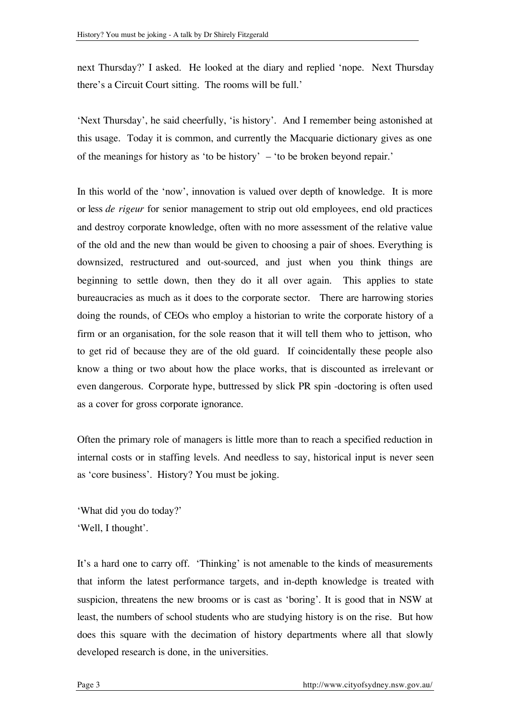next Thursday?' I asked. He looked at the diary and replied 'nope. Next Thursday there's a Circuit Court sitting. The rooms will be full.'

'Next Thursday', he said cheerfully, 'is history'. And I remember being astonished at this usage. Today it is common, and currently the Macquarie dictionary gives as one of the meanings for history as 'to be history' – 'to be broken beyond repair.'

In this world of the 'now', innovation is valued over depth of knowledge. It is more or less *de rigeur* for senior management to strip out old employees, end old practices and destroy corporate knowledge, often with no more assessment of the relative value of the old and the new than would be given to choosing a pair of shoes. Everything is downsized, restructured and out-sourced, and just when you think things are beginning to settle down, then they do it all over again. This applies to state bureaucracies as much as it does to the corporate sector. There are harrowing stories doing the rounds, of CEOs who employ a historian to write the corporate history of a firm or an organisation, for the sole reason that it will tell them who to jettison, who to get rid of because they are of the old guard. If coincidentally these people also know a thing or two about how the place works, that is discounted as irrelevant or even dangerous. Corporate hype, buttressed by slick PR spin -doctoring is often used as a cover for gross corporate ignorance.

Often the primary role of managers is little more than to reach a specified reduction in internal costs or in staffing levels. And needless to say, historical input is never seen as 'core business'. History? You must be joking.

'What did you do today?' 'Well, I thought'.

It's a hard one to carry off. 'Thinking' is not amenable to the kinds of measurements that inform the latest performance targets, and in-depth knowledge is treated with suspicion, threatens the new brooms or is cast as 'boring'. It is good that in NSW at least, the numbers of school students who are studying history is on the rise. But how does this square with the decimation of history departments where all that slowly developed research is done, in the universities.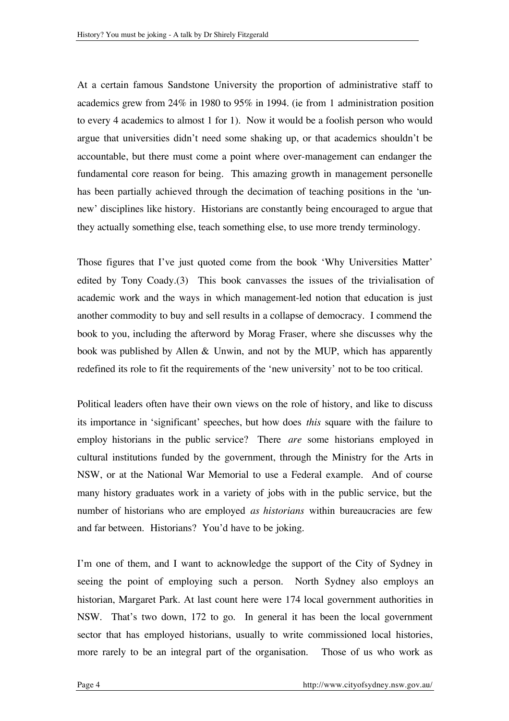At a certain famous Sandstone University the proportion of administrative staff to academics grew from 24% in 1980 to 95% in 1994. (ie from 1 administration position to every 4 academics to almost 1 for 1). Now it would be a foolish person who would argue that universities didn't need some shaking up, or that academics shouldn't be accountable, but there must come a point where over-management can endanger the fundamental core reason for being. This amazing growth in management personelle has been partially achieved through the decimation of teaching positions in the 'unnew' disciplines like history. Historians are constantly being encouraged to argue that they actually something else, teach something else, to use more trendy terminology.

Those figures that I've just quoted come from the book 'Why Universities Matter' edited by Tony Coady.(3) This book canvasses the issues of the trivialisation of academic work and the ways in which management-led notion that education is just another commodity to buy and sell results in a collapse of democracy. I commend the book to you, including the afterword by Morag Fraser, where she discusses why the book was published by Allen & Unwin, and not by the MUP, which has apparently redefined its role to fit the requirements of the 'new university' not to be too critical.

Political leaders often have their own views on the role of history, and like to discuss its importance in 'significant' speeches, but how does *this* square with the failure to employ historians in the public service? There *are* some historians employed in cultural institutions funded by the government, through the Ministry for the Arts in NSW, or at the National War Memorial to use a Federal example. And of course many history graduates work in a variety of jobs with in the public service, but the number of historians who are employed *as historians* within bureaucracies are few and far between. Historians? You'd have to be joking.

I'm one of them, and I want to acknowledge the support of the City of Sydney in seeing the point of employing such a person. North Sydney also employs an historian, Margaret Park. At last count here were 174 local government authorities in NSW. That's two down, 172 to go. In general it has been the local government sector that has employed historians, usually to write commissioned local histories, more rarely to be an integral part of the organisation. Those of us who work as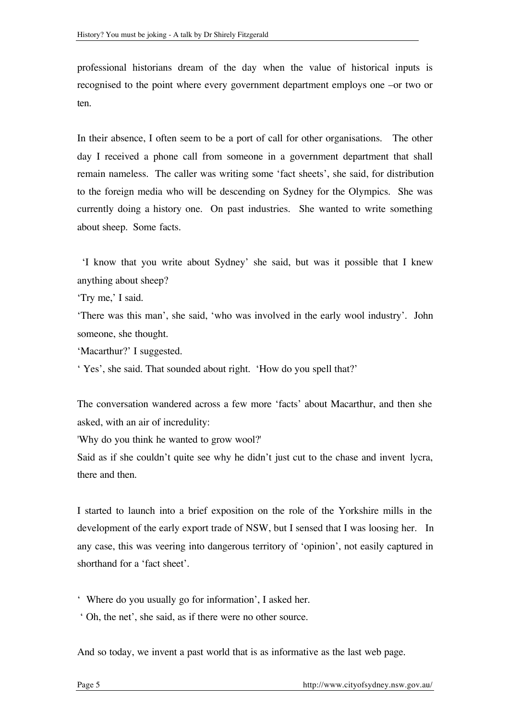professional historians dream of the day when the value of historical inputs is recognised to the point where every government department employs one –or two or ten.

In their absence, I often seem to be a port of call for other organisations. The other day I received a phone call from someone in a government department that shall remain nameless. The caller was writing some 'fact sheets', she said, for distribution to the foreign media who will be descending on Sydney for the Olympics. She was currently doing a history one. On past industries. She wanted to write something about sheep. Some facts.

'I know that you write about Sydney' she said, but was it possible that I knew anything about sheep?

'Try me,' I said.

'There was this man', she said, 'who was involved in the early wool industry'. John someone, she thought.

'Macarthur?' I suggested.

' Yes', she said. That sounded about right. 'How do you spell that?'

The conversation wandered across a few more 'facts' about Macarthur, and then she asked, with an air of incredulity:

'Why do you think he wanted to grow wool?'

Said as if she couldn't quite see why he didn't just cut to the chase and invent lycra, there and then.

I started to launch into a brief exposition on the role of the Yorkshire mills in the development of the early export trade of NSW, but I sensed that I was loosing her. In any case, this was veering into dangerous territory of 'opinion', not easily captured in shorthand for a 'fact sheet'.

' Where do you usually go for information', I asked her.

' Oh, the net', she said, as if there were no other source.

And so today, we invent a past world that is as informative as the last web page.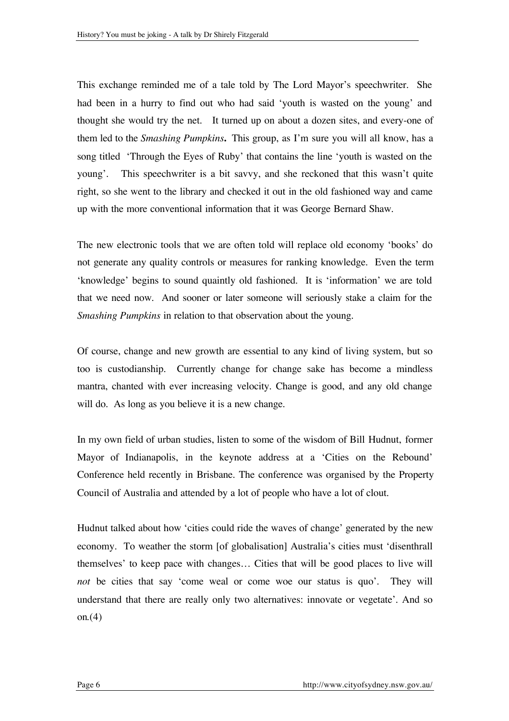This exchange reminded me of a tale told by The Lord Mayor's speechwriter. She had been in a hurry to find out who had said 'youth is wasted on the young' and thought she would try the net. It turned up on about a dozen sites, and every-one of them led to the *Smashing Pumpkins***.** This group, as I'm sure you will all know, has a song titled 'Through the Eyes of Ruby' that contains the line 'youth is wasted on the young'. This speechwriter is a bit savvy, and she reckoned that this wasn't quite right, so she went to the library and checked it out in the old fashioned way and came up with the more conventional information that it was George Bernard Shaw.

The new electronic tools that we are often told will replace old economy 'books' do not generate any quality controls or measures for ranking knowledge. Even the term 'knowledge' begins to sound quaintly old fashioned. It is 'information' we are told that we need now. And sooner or later someone will seriously stake a claim for the *Smashing Pumpkins* in relation to that observation about the young.

Of course, change and new growth are essential to any kind of living system, but so too is custodianship. Currently change for change sake has become a mindless mantra, chanted with ever increasing velocity. Change is good, and any old change will do. As long as you believe it is a new change.

In my own field of urban studies, listen to some of the wisdom of Bill Hudnut, former Mayor of Indianapolis, in the keynote address at a 'Cities on the Rebound' Conference held recently in Brisbane. The conference was organised by the Property Council of Australia and attended by a lot of people who have a lot of clout.

Hudnut talked about how 'cities could ride the waves of change' generated by the new economy. To weather the storm [of globalisation] Australia's cities must 'disenthrall themselves' to keep pace with changes… Cities that will be good places to live will *not* be cities that say 'come weal or come woe our status is quo'. They will understand that there are really only two alternatives: innovate or vegetate'. And so on. $(4)$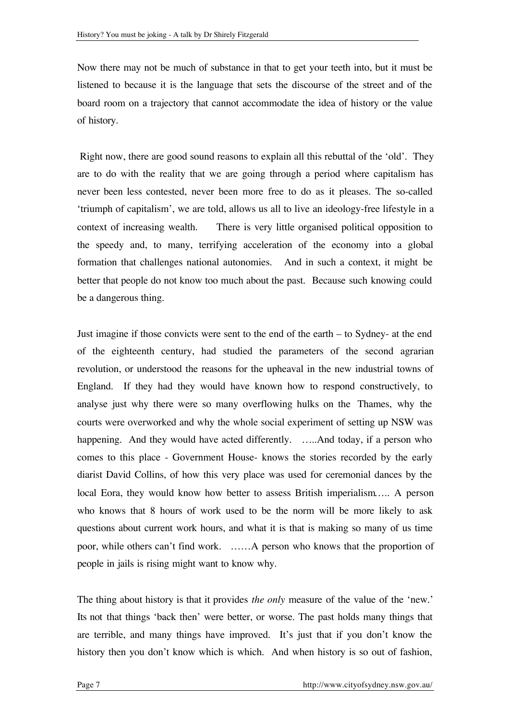Now there may not be much of substance in that to get your teeth into, but it must be listened to because it is the language that sets the discourse of the street and of the board room on a trajectory that cannot accommodate the idea of history or the value of history.

Right now, there are good sound reasons to explain all this rebuttal of the 'old'. They are to do with the reality that we are going through a period where capitalism has never been less contested, never been more free to do as it pleases. The so-called 'triumph of capitalism', we are told, allows us all to live an ideology-free lifestyle in a context of increasing wealth. There is very little organised political opposition to the speedy and, to many, terrifying acceleration of the economy into a global formation that challenges national autonomies. And in such a context, it might be better that people do not know too much about the past. Because such knowing could be a dangerous thing.

Just imagine if those convicts were sent to the end of the earth – to Sydney- at the end of the eighteenth century, had studied the parameters of the second agrarian revolution, or understood the reasons for the upheaval in the new industrial towns of England. If they had they would have known how to respond constructively, to analyse just why there were so many overflowing hulks on the Thames, why the courts were overworked and why the whole social experiment of setting up NSW was happening. And they would have acted differently. …..And today, if a person who comes to this place - Government House- knows the stories recorded by the early diarist David Collins, of how this very place was used for ceremonial dances by the local Eora, they would know how better to assess British imperialism….. A person who knows that 8 hours of work used to be the norm will be more likely to ask questions about current work hours, and what it is that is making so many of us time poor, while others can't find work. ……A person who knows that the proportion of people in jails is rising might want to know why.

The thing about history is that it provides *the only* measure of the value of the 'new.' Its not that things 'back then' were better, or worse. The past holds many things that are terrible, and many things have improved. It's just that if you don't know the history then you don't know which is which. And when history is so out of fashion,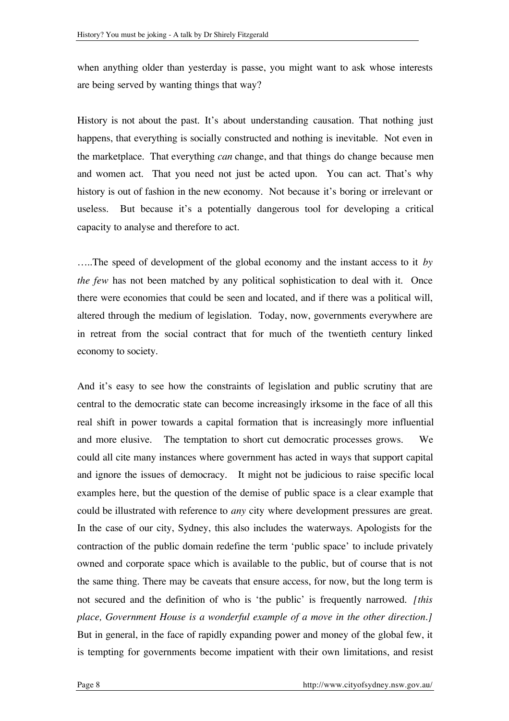when anything older than yesterday is passe, you might want to ask whose interests are being served by wanting things that way?

History is not about the past. It's about understanding causation. That nothing just happens, that everything is socially constructed and nothing is inevitable. Not even in the marketplace. That everything *can* change, and that things do change because men and women act. That you need not just be acted upon. You can act. That's why history is out of fashion in the new economy. Not because it's boring or irrelevant or useless. But because it's a potentially dangerous tool for developing a critical capacity to analyse and therefore to act.

…..The speed of development of the global economy and the instant access to it *by the few* has not been matched by any political sophistication to deal with it. Once there were economies that could be seen and located, and if there was a political will, altered through the medium of legislation. Today, now, governments everywhere are in retreat from the social contract that for much of the twentieth century linked economy to society.

And it's easy to see how the constraints of legislation and public scrutiny that are central to the democratic state can become increasingly irksome in the face of all this real shift in power towards a capital formation that is increasingly more influential and more elusive. The temptation to short cut democratic processes grows. We could all cite many instances where government has acted in ways that support capital and ignore the issues of democracy. It might not be judicious to raise specific local examples here, but the question of the demise of public space is a clear example that could be illustrated with reference to *any* city where development pressures are great. In the case of our city, Sydney, this also includes the waterways. Apologists for the contraction of the public domain redefine the term 'public space' to include privately owned and corporate space which is available to the public, but of course that is not the same thing. There may be caveats that ensure access, for now, but the long term is not secured and the definition of who is 'the public' is frequently narrowed. *[this place, Government House is a wonderful example of a move in the other direction.]* But in general, in the face of rapidly expanding power and money of the global few, it is tempting for governments become impatient with their own limitations, and resist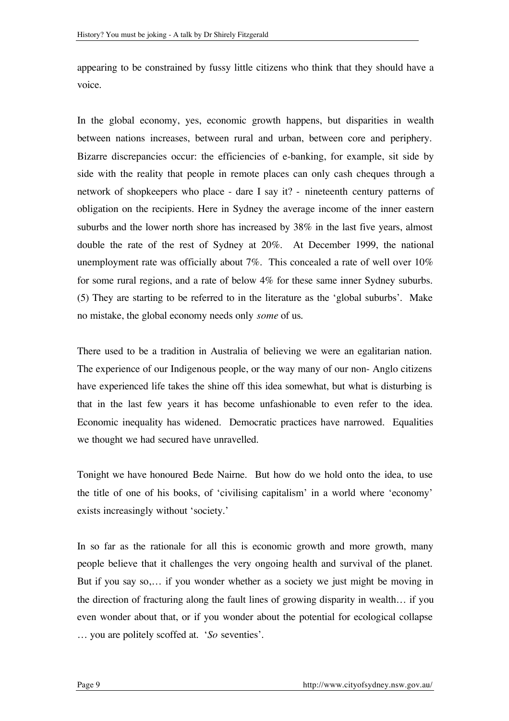appearing to be constrained by fussy little citizens who think that they should have a voice.

In the global economy, yes, economic growth happens, but disparities in wealth between nations increases, between rural and urban, between core and periphery. Bizarre discrepancies occur: the efficiencies of e-banking, for example, sit side by side with the reality that people in remote places can only cash cheques through a network of shopkeepers who place - dare I say it? - nineteenth century patterns of obligation on the recipients. Here in Sydney the average income of the inner eastern suburbs and the lower north shore has increased by 38% in the last five years, almost double the rate of the rest of Sydney at 20%. At December 1999, the national unemployment rate was officially about 7%. This concealed a rate of well over 10% for some rural regions, and a rate of below 4% for these same inner Sydney suburbs. (5) They are starting to be referred to in the literature as the 'global suburbs'. Make no mistake, the global economy needs only *some* of us.

There used to be a tradition in Australia of believing we were an egalitarian nation. The experience of our Indigenous people, or the way many of our non- Anglo citizens have experienced life takes the shine off this idea somewhat, but what is disturbing is that in the last few years it has become unfashionable to even refer to the idea. Economic inequality has widened. Democratic practices have narrowed. Equalities we thought we had secured have unravelled.

Tonight we have honoured Bede Nairne. But how do we hold onto the idea, to use the title of one of his books, of 'civilising capitalism' in a world where 'economy' exists increasingly without 'society.'

In so far as the rationale for all this is economic growth and more growth, many people believe that it challenges the very ongoing health and survival of the planet. But if you say so,… if you wonder whether as a society we just might be moving in the direction of fracturing along the fault lines of growing disparity in wealth… if you even wonder about that, or if you wonder about the potential for ecological collapse … you are politely scoffed at. '*So* seventies'.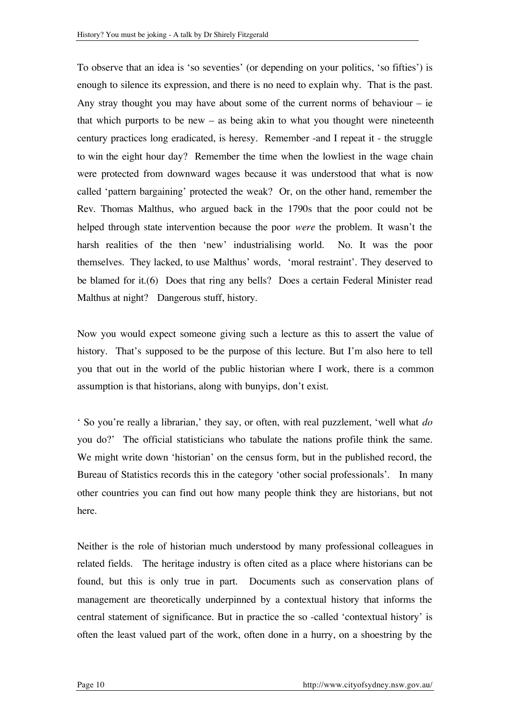To observe that an idea is 'so seventies' (or depending on your politics, 'so fifties') is enough to silence its expression, and there is no need to explain why. That is the past. Any stray thought you may have about some of the current norms of behaviour – ie that which purports to be new  $-$  as being akin to what you thought were nineteenth century practices long eradicated, is heresy. Remember -and I repeat it - the struggle to win the eight hour day? Remember the time when the lowliest in the wage chain were protected from downward wages because it was understood that what is now called 'pattern bargaining' protected the weak? Or, on the other hand, remember the Rev. Thomas Malthus, who argued back in the 1790s that the poor could not be helped through state intervention because the poor *were* the problem. It wasn't the harsh realities of the then 'new' industrialising world. No. It was the poor themselves. They lacked, to use Malthus' words, 'moral restraint'. They deserved to be blamed for it.(6) Does that ring any bells? Does a certain Federal Minister read Malthus at night? Dangerous stuff, history.

Now you would expect someone giving such a lecture as this to assert the value of history. That's supposed to be the purpose of this lecture. But I'm also here to tell you that out in the world of the public historian where I work, there is a common assumption is that historians, along with bunyips, don't exist.

' So you're really a librarian,' they say, or often, with real puzzlement, 'well what *do* you do?' The official statisticians who tabulate the nations profile think the same. We might write down 'historian' on the census form, but in the published record, the Bureau of Statistics records this in the category 'other social professionals'. In many other countries you can find out how many people think they are historians, but not here.

Neither is the role of historian much understood by many professional colleagues in related fields. The heritage industry is often cited as a place where historians can be found, but this is only true in part. Documents such as conservation plans of management are theoretically underpinned by a contextual history that informs the central statement of significance. But in practice the so -called 'contextual history' is often the least valued part of the work, often done in a hurry, on a shoestring by the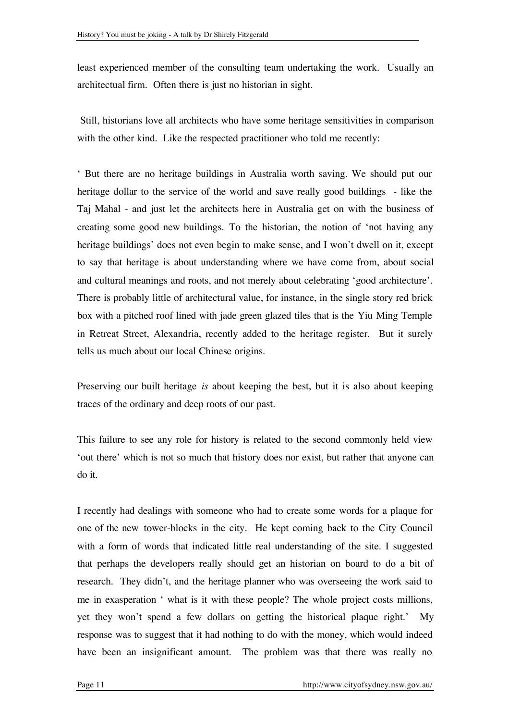least experienced member of the consulting team undertaking the work. Usually an architectual firm. Often there is just no historian in sight.

Still, historians love all architects who have some heritage sensitivities in comparison with the other kind. Like the respected practitioner who told me recently:

' But there are no heritage buildings in Australia worth saving. We should put our heritage dollar to the service of the world and save really good buildings - like the Taj Mahal - and just let the architects here in Australia get on with the business of creating some good new buildings. To the historian, the notion of 'not having any heritage buildings' does not even begin to make sense, and I won't dwell on it, except to say that heritage is about understanding where we have come from, about social and cultural meanings and roots, and not merely about celebrating 'good architecture'. There is probably little of architectural value, for instance, in the single story red brick box with a pitched roof lined with jade green glazed tiles that is the Yiu Ming Temple in Retreat Street, Alexandria, recently added to the heritage register. But it surely tells us much about our local Chinese origins.

Preserving our built heritage *is* about keeping the best, but it is also about keeping traces of the ordinary and deep roots of our past.

This failure to see any role for history is related to the second commonly held view 'out there' which is not so much that history does nor exist, but rather that anyone can do it.

I recently had dealings with someone who had to create some words for a plaque for one of the new tower-blocks in the city. He kept coming back to the City Council with a form of words that indicated little real understanding of the site. I suggested that perhaps the developers really should get an historian on board to do a bit of research. They didn't, and the heritage planner who was overseeing the work said to me in exasperation ' what is it with these people? The whole project costs millions, yet they won't spend a few dollars on getting the historical plaque right.' My response was to suggest that it had nothing to do with the money, which would indeed have been an insignificant amount. The problem was that there was really no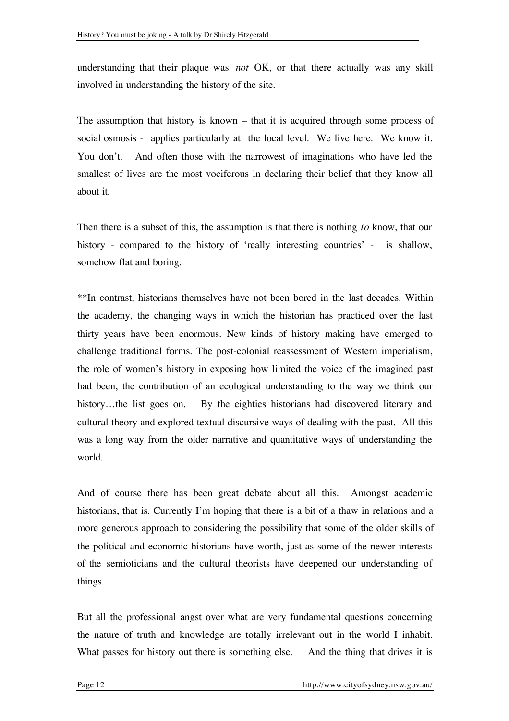understanding that their plaque was *not* OK, or that there actually was any skill involved in understanding the history of the site.

The assumption that history is known – that it is acquired through some process of social osmosis - applies particularly at the local level. We live here. We know it. You don't. And often those with the narrowest of imaginations who have led the smallest of lives are the most vociferous in declaring their belief that they know all about it.

Then there is a subset of this, the assumption is that there is nothing *to* know, that our history - compared to the history of 'really interesting countries' - is shallow, somehow flat and boring.

\*\*In contrast, historians themselves have not been bored in the last decades. Within the academy, the changing ways in which the historian has practiced over the last thirty years have been enormous. New kinds of history making have emerged to challenge traditional forms. The post-colonial reassessment of Western imperialism, the role of women's history in exposing how limited the voice of the imagined past had been, the contribution of an ecological understanding to the way we think our history...the list goes on. By the eighties historians had discovered literary and cultural theory and explored textual discursive ways of dealing with the past. All this was a long way from the older narrative and quantitative ways of understanding the world.

And of course there has been great debate about all this. Amongst academic historians, that is. Currently I'm hoping that there is a bit of a thaw in relations and a more generous approach to considering the possibility that some of the older skills of the political and economic historians have worth, just as some of the newer interests of the semioticians and the cultural theorists have deepened our understanding of things.

But all the professional angst over what are very fundamental questions concerning the nature of truth and knowledge are totally irrelevant out in the world I inhabit. What passes for history out there is something else. And the thing that drives it is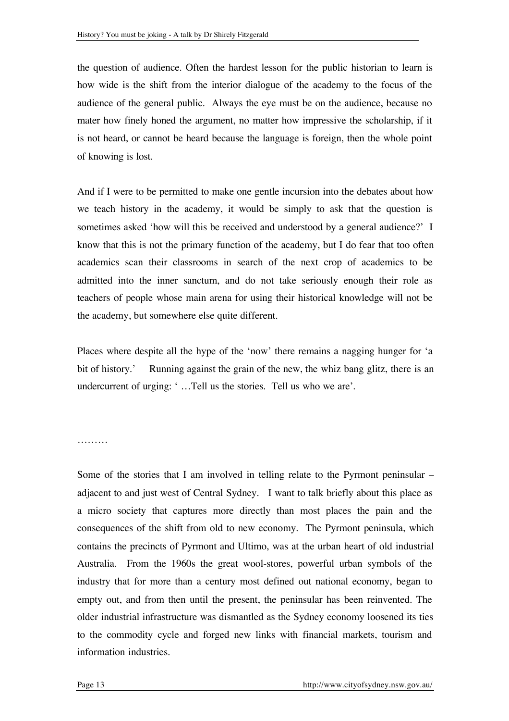the question of audience. Often the hardest lesson for the public historian to learn is how wide is the shift from the interior dialogue of the academy to the focus of the audience of the general public. Always the eye must be on the audience, because no mater how finely honed the argument, no matter how impressive the scholarship, if it is not heard, or cannot be heard because the language is foreign, then the whole point of knowing is lost.

And if I were to be permitted to make one gentle incursion into the debates about how we teach history in the academy, it would be simply to ask that the question is sometimes asked 'how will this be received and understood by a general audience?' I know that this is not the primary function of the academy, but I do fear that too often academics scan their classrooms in search of the next crop of academics to be admitted into the inner sanctum, and do not take seriously enough their role as teachers of people whose main arena for using their historical knowledge will not be the academy, but somewhere else quite different.

Places where despite all the hype of the 'now' there remains a nagging hunger for 'a bit of history.' Running against the grain of the new, the whiz bang glitz, there is an undercurrent of urging: ' …Tell us the stories. Tell us who we are'.

…………

Some of the stories that I am involved in telling relate to the Pyrmont peninsular – adjacent to and just west of Central Sydney. I want to talk briefly about this place as a micro society that captures more directly than most places the pain and the consequences of the shift from old to new economy. The Pyrmont peninsula, which contains the precincts of Pyrmont and Ultimo, was at the urban heart of old industrial Australia. From the 1960s the great wool-stores, powerful urban symbols of the industry that for more than a century most defined out national economy, began to empty out, and from then until the present, the peninsular has been reinvented. The older industrial infrastructure was dismantled as the Sydney economy loosened its ties to the commodity cycle and forged new links with financial markets, tourism and information industries.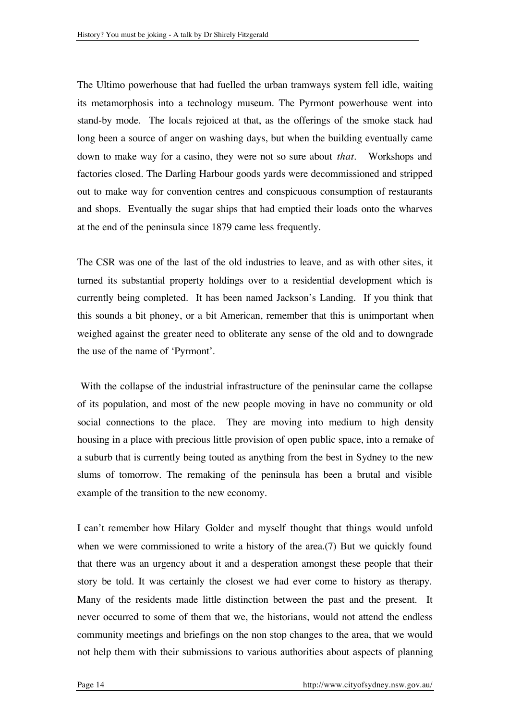The Ultimo powerhouse that had fuelled the urban tramways system fell idle, waiting its metamorphosis into a technology museum. The Pyrmont powerhouse went into stand-by mode. The locals rejoiced at that, as the offerings of the smoke stack had long been a source of anger on washing days, but when the building eventually came down to make way for a casino, they were not so sure about *that.* Workshops and factories closed. The Darling Harbour goods yards were decommissioned and stripped out to make way for convention centres and conspicuous consumption of restaurants and shops. Eventually the sugar ships that had emptied their loads onto the wharves at the end of the peninsula since 1879 came less frequently.

The CSR was one of the last of the old industries to leave, and as with other sites, it turned its substantial property holdings over to a residential development which is currently being completed. It has been named Jackson's Landing. If you think that this sounds a bit phoney, or a bit American, remember that this is unimportant when weighed against the greater need to obliterate any sense of the old and to downgrade the use of the name of 'Pyrmont'.

With the collapse of the industrial infrastructure of the peninsular came the collapse of its population, and most of the new people moving in have no community or old social connections to the place. They are moving into medium to high density housing in a place with precious little provision of open public space, into a remake of a suburb that is currently being touted as anything from the best in Sydney to the new slums of tomorrow. The remaking of the peninsula has been a brutal and visible example of the transition to the new economy.

I can't remember how Hilary Golder and myself thought that things would unfold when we were commissioned to write a history of the area.(7) But we quickly found that there was an urgency about it and a desperation amongst these people that their story be told. It was certainly the closest we had ever come to history as therapy. Many of the residents made little distinction between the past and the present. It never occurred to some of them that we, the historians, would not attend the endless community meetings and briefings on the non stop changes to the area, that we would not help them with their submissions to various authorities about aspects of planning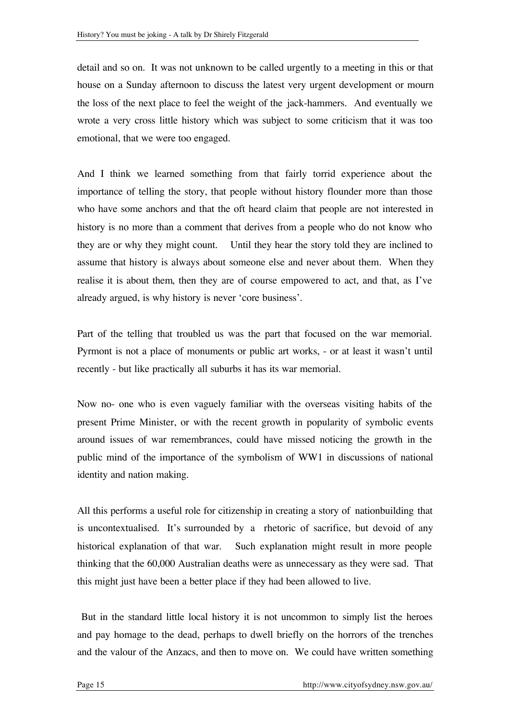detail and so on. It was not unknown to be called urgently to a meeting in this or that house on a Sunday afternoon to discuss the latest very urgent development or mourn the loss of the next place to feel the weight of the jack-hammers. And eventually we wrote a very cross little history which was subject to some criticism that it was too emotional, that we were too engaged.

And I think we learned something from that fairly torrid experience about the importance of telling the story, that people without history flounder more than those who have some anchors and that the oft heard claim that people are not interested in history is no more than a comment that derives from a people who do not know who they are or why they might count. Until they hear the story told they are inclined to assume that history is always about someone else and never about them. When they realise it is about them, then they are of course empowered to act, and that, as I've already argued, is why history is never 'core business'.

Part of the telling that troubled us was the part that focused on the war memorial. Pyrmont is not a place of monuments or public art works, - or at least it wasn't until recently - but like practically all suburbs it has its war memorial.

Now no- one who is even vaguely familiar with the overseas visiting habits of the present Prime Minister, or with the recent growth in popularity of symbolic events around issues of war remembrances, could have missed noticing the growth in the public mind of the importance of the symbolism of WW1 in discussions of national identity and nation making.

All this performs a useful role for citizenship in creating a story of nationbuilding that is uncontextualised. It's surrounded by a rhetoric of sacrifice, but devoid of any historical explanation of that war. Such explanation might result in more people thinking that the 60,000 Australian deaths were as unnecessary as they were sad. That this might just have been a better place if they had been allowed to live.

But in the standard little local history it is not uncommon to simply list the heroes and pay homage to the dead, perhaps to dwell briefly on the horrors of the trenches and the valour of the Anzacs, and then to move on. We could have written something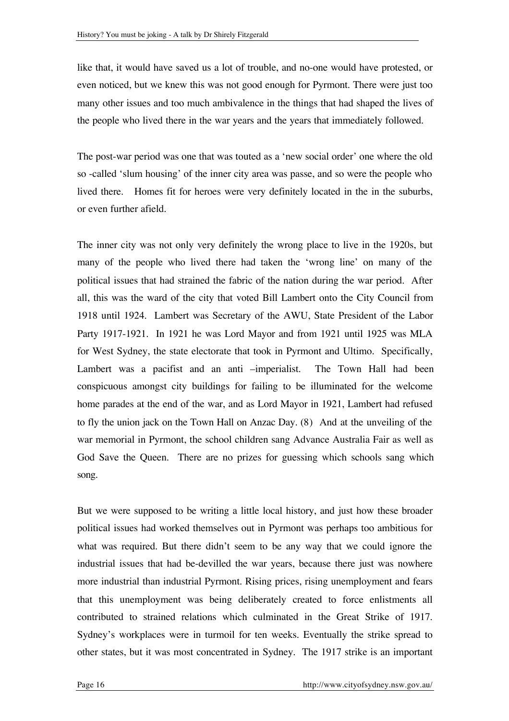like that, it would have saved us a lot of trouble, and no-one would have protested, or even noticed, but we knew this was not good enough for Pyrmont. There were just too many other issues and too much ambivalence in the things that had shaped the lives of the people who lived there in the war years and the years that immediately followed.

The post-war period was one that was touted as a 'new social order' one where the old so -called 'slum housing' of the inner city area was passe, and so were the people who lived there. Homes fit for heroes were very definitely located in the in the suburbs, or even further afield.

The inner city was not only very definitely the wrong place to live in the 1920s, but many of the people who lived there had taken the 'wrong line' on many of the political issues that had strained the fabric of the nation during the war period. After all, this was the ward of the city that voted Bill Lambert onto the City Council from 1918 until 1924. Lambert was Secretary of the AWU, State President of the Labor Party 1917-1921. In 1921 he was Lord Mayor and from 1921 until 1925 was MLA for West Sydney, the state electorate that took in Pyrmont and Ultimo. Specifically, Lambert was a pacifist and an anti –imperialist. The Town Hall had been conspicuous amongst city buildings for failing to be illuminated for the welcome home parades at the end of the war, and as Lord Mayor in 1921, Lambert had refused to fly the union jack on the Town Hall on Anzac Day. (8) And at the unveiling of the war memorial in Pyrmont, the school children sang Advance Australia Fair as well as God Save the Queen. There are no prizes for guessing which schools sang which song.

But we were supposed to be writing a little local history, and just how these broader political issues had worked themselves out in Pyrmont was perhaps too ambitious for what was required. But there didn't seem to be any way that we could ignore the industrial issues that had be-devilled the war years, because there just was nowhere more industrial than industrial Pyrmont. Rising prices, rising unemployment and fears that this unemployment was being deliberately created to force enlistments all contributed to strained relations which culminated in the Great Strike of 1917. Sydney's workplaces were in turmoil for ten weeks. Eventually the strike spread to other states, but it was most concentrated in Sydney. The 1917 strike is an important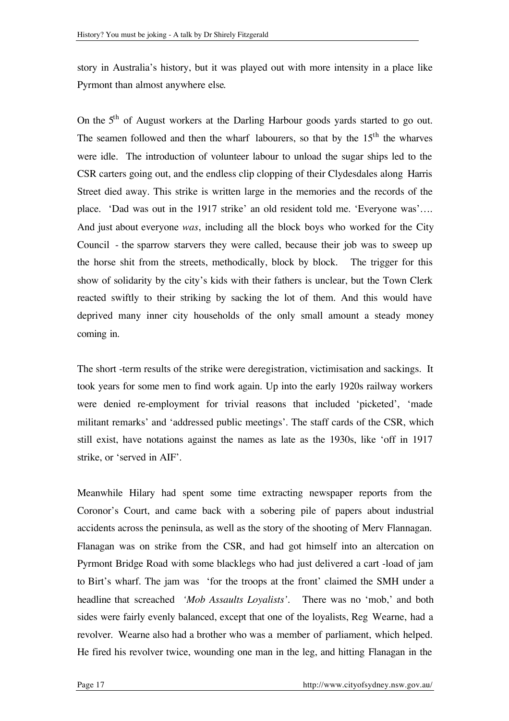story in Australia's history, but it was played out with more intensity in a place like Pyrmont than almost anywhere else.

On the 5<sup>th</sup> of August workers at the Darling Harbour goods yards started to go out. The seamen followed and then the wharf labourers, so that by the 15<sup>th</sup> the wharves were idle. The introduction of volunteer labour to unload the sugar ships led to the CSR carters going out, and the endless clip clopping of their Clydesdales along Harris Street died away. This strike is written large in the memories and the records of the place. 'Dad was out in the 1917 strike' an old resident told me. 'Everyone was'…. And just about everyone *was*, including all the block boys who worked for the City Council - the sparrow starvers they were called, because their job was to sweep up the horse shit from the streets, methodically, block by block. The trigger for this show of solidarity by the city's kids with their fathers is unclear, but the Town Clerk reacted swiftly to their striking by sacking the lot of them. And this would have deprived many inner city households of the only small amount a steady money coming in.

The short -term results of the strike were deregistration, victimisation and sackings. It took years for some men to find work again. Up into the early 1920s railway workers were denied re-employment for trivial reasons that included 'picketed', 'made militant remarks' and 'addressed public meetings'. The staff cards of the CSR, which still exist, have notations against the names as late as the 1930s, like 'off in 1917 strike, or 'served in AIF'.

Meanwhile Hilary had spent some time extracting newspaper reports from the Coronor's Court, and came back with a sobering pile of papers about industrial accidents across the peninsula, as well as the story of the shooting of Merv Flannagan. Flanagan was on strike from the CSR, and had got himself into an altercation on Pyrmont Bridge Road with some blacklegs who had just delivered a cart -load of jam to Birt's wharf. The jam was 'for the troops at the front' claimed the SMH under a headline that screached *'Mob Assaults Loyalists'*. There was no 'mob,' and both sides were fairly evenly balanced, except that one of the loyalists, Reg Wearne, had a revolver. Wearne also had a brother who was a member of parliament, which helped. He fired his revolver twice, wounding one man in the leg, and hitting Flanagan in the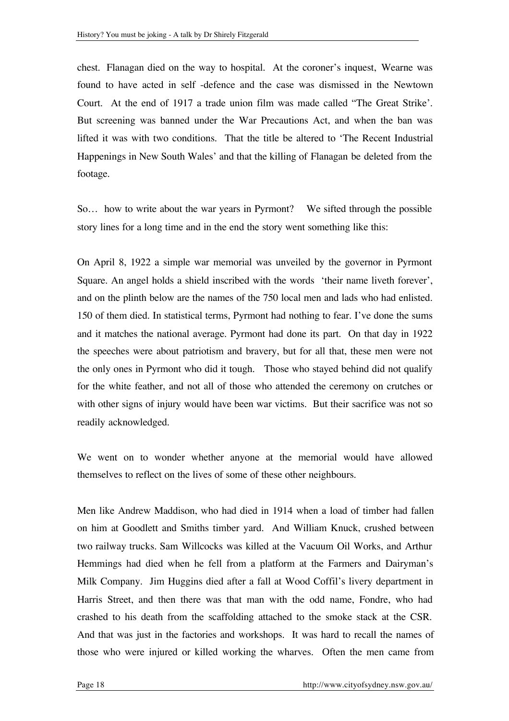chest. Flanagan died on the way to hospital. At the coroner's inquest, Wearne was found to have acted in self -defence and the case was dismissed in the Newtown Court. At the end of 1917 a trade union film was made called "The Great Strike'. But screening was banned under the War Precautions Act, and when the ban was lifted it was with two conditions. That the title be altered to 'The Recent Industrial Happenings in New South Wales' and that the killing of Flanagan be deleted from the footage.

So… how to write about the war years in Pyrmont? We sifted through the possible story lines for a long time and in the end the story went something like this:

On April 8, 1922 a simple war memorial was unveiled by the governor in Pyrmont Square. An angel holds a shield inscribed with the words 'their name liveth forever', and on the plinth below are the names of the 750 local men and lads who had enlisted. 150 of them died. In statistical terms, Pyrmont had nothing to fear. I've done the sums and it matches the national average. Pyrmont had done its part. On that day in 1922 the speeches were about patriotism and bravery, but for all that, these men were not the only ones in Pyrmont who did it tough. Those who stayed behind did not qualify for the white feather, and not all of those who attended the ceremony on crutches or with other signs of injury would have been war victims. But their sacrifice was not so readily acknowledged.

We went on to wonder whether anyone at the memorial would have allowed themselves to reflect on the lives of some of these other neighbours.

Men like Andrew Maddison, who had died in 1914 when a load of timber had fallen on him at Goodlett and Smiths timber yard. And William Knuck, crushed between two railway trucks. Sam Willcocks was killed at the Vacuum Oil Works, and Arthur Hemmings had died when he fell from a platform at the Farmers and Dairyman's Milk Company. Jim Huggins died after a fall at Wood Coffil's livery department in Harris Street, and then there was that man with the odd name, Fondre, who had crashed to his death from the scaffolding attached to the smoke stack at the CSR. And that was just in the factories and workshops. It was hard to recall the names of those who were injured or killed working the wharves. Often the men came from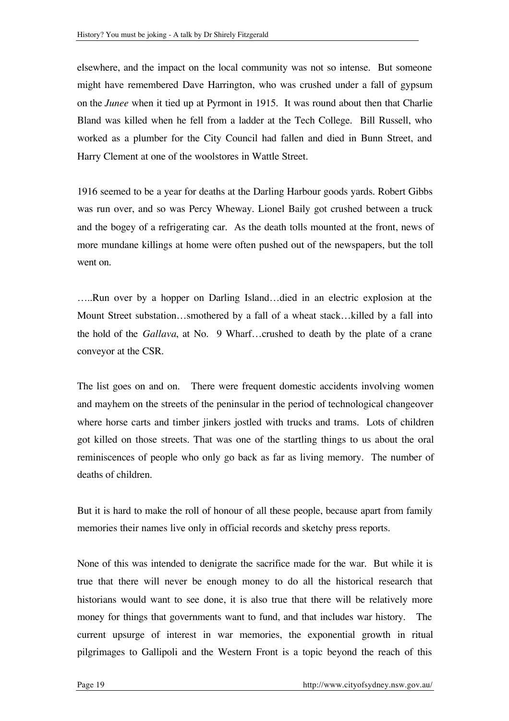elsewhere, and the impact on the local community was not so intense. But someone might have remembered Dave Harrington, who was crushed under a fall of gypsum on the *Junee* when it tied up at Pyrmont in 1915. It was round about then that Charlie Bland was killed when he fell from a ladder at the Tech College. Bill Russell, who worked as a plumber for the City Council had fallen and died in Bunn Street, and Harry Clement at one of the woolstores in Wattle Street.

1916 seemed to be a year for deaths at the Darling Harbour goods yards. Robert Gibbs was run over, and so was Percy Wheway. Lionel Baily got crushed between a truck and the bogey of a refrigerating car. As the death tolls mounted at the front, news of more mundane killings at home were often pushed out of the newspapers, but the toll went on.

…..Run over by a hopper on Darling Island…died in an electric explosion at the Mount Street substation…smothered by a fall of a wheat stack…killed by a fall into the hold of the *Gallava*, at No. 9 Wharf…crushed to death by the plate of a crane conveyor at the CSR.

The list goes on and on. There were frequent domestic accidents involving women and mayhem on the streets of the peninsular in the period of technological changeover where horse carts and timber jinkers jostled with trucks and trams. Lots of children got killed on those streets. That was one of the startling things to us about the oral reminiscences of people who only go back as far as living memory. The number of deaths of children.

But it is hard to make the roll of honour of all these people, because apart from family memories their names live only in official records and sketchy press reports.

None of this was intended to denigrate the sacrifice made for the war. But while it is true that there will never be enough money to do all the historical research that historians would want to see done, it is also true that there will be relatively more money for things that governments want to fund, and that includes war history. The current upsurge of interest in war memories, the exponential growth in ritual pilgrimages to Gallipoli and the Western Front is a topic beyond the reach of this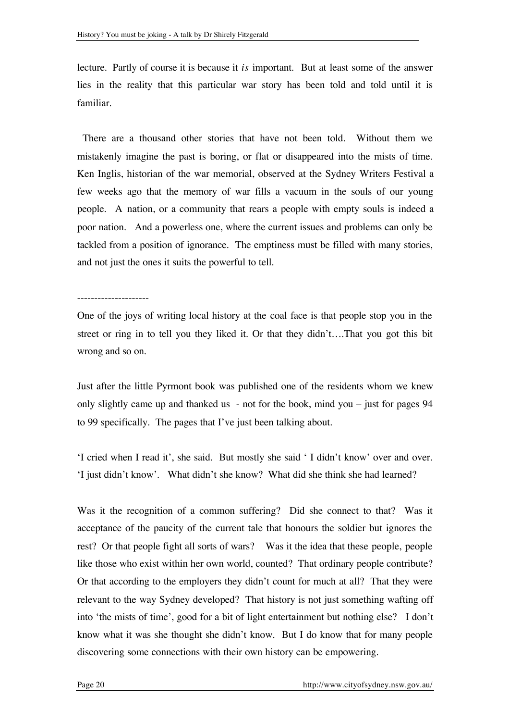lecture. Partly of course it is because it *is* important. But at least some of the answer lies in the reality that this particular war story has been told and told until it is familiar.

There are a thousand other stories that have not been told. Without them we mistakenly imagine the past is boring, or flat or disappeared into the mists of time. Ken Inglis, historian of the war memorial, observed at the Sydney Writers Festival a few weeks ago that the memory of war fills a vacuum in the souls of our young people. A nation, or a community that rears a people with empty souls is indeed a poor nation. And a powerless one, where the current issues and problems can only be tackled from a position of ignorance. The emptiness must be filled with many stories, and not just the ones it suits the powerful to tell.

## ---------------------

One of the joys of writing local history at the coal face is that people stop you in the street or ring in to tell you they liked it. Or that they didn't….That you got this bit wrong and so on.

Just after the little Pyrmont book was published one of the residents whom we knew only slightly came up and thanked us - not for the book, mind you – just for pages 94 to 99 specifically. The pages that I've just been talking about.

'I cried when I read it', she said. But mostly she said ' I didn't know' over and over. 'I just didn't know'. What didn't she know? What did she think she had learned?

Was it the recognition of a common suffering? Did she connect to that? Was it acceptance of the paucity of the current tale that honours the soldier but ignores the rest? Or that people fight all sorts of wars? Was it the idea that these people, people like those who exist within her own world, counted? That ordinary people contribute? Or that according to the employers they didn't count for much at all? That they were relevant to the way Sydney developed? That history is not just something wafting off into 'the mists of time', good for a bit of light entertainment but nothing else? I don't know what it was she thought she didn't know. But I do know that for many people discovering some connections with their own history can be empowering.